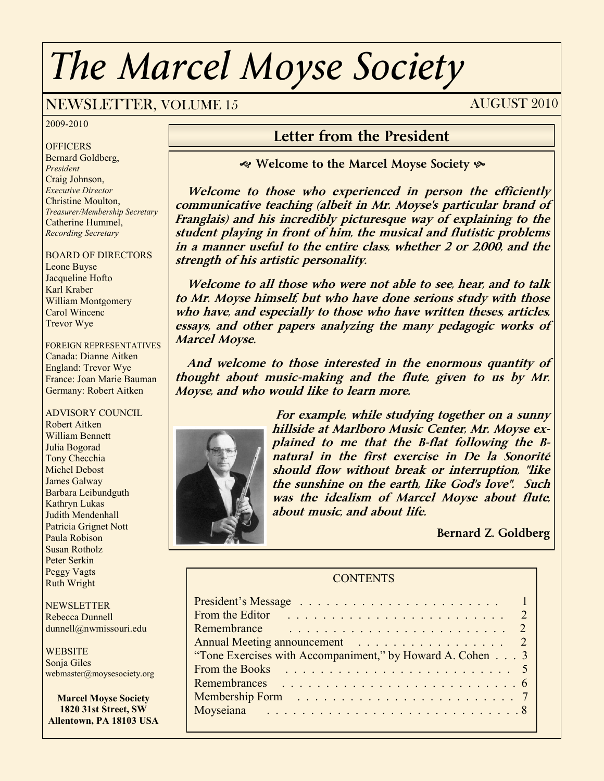# *The Marcel Moyse Society*

### NEWSLETTER, VOLUME 15 AUGUST 2010

2009-2010

**OFFICERS** Bernard Goldberg, *President* Craig Johnson, *Executive Director* Christine Moulton, *Treasurer/Membership Secretary* Catherine Hummel, *Recording Secretary*

#### BOARD OF DIRECTORS

Leone Buyse Jacqueline Hofto Karl Kraber William Montgomery Carol Wincenc Trevor Wye

FOREIGN REPRESENTATIVES Canada: Dianne Aitken England: Trevor Wye France: Joan Marie Bauman Germany: Robert Aitken

#### ADVISORY COUNCIL

Robert Aitken William Bennett Julia Bogorad Tony Checchia Michel Debost James Galway Barbara Leibundguth Kathryn Lukas Judith Mendenhall Patricia Grignet Nott Paula Robison Susan Rotholz Peter Serkin Peggy Vagts Ruth Wright

**NEWSLETTER** Rebecca Dunnell dunnell@nwmissouri.edu

**WEBSITE** Sonja Giles webmaster@moysesociety.org

**Marcel Moyse Society 1820 31st Street, SW Allentown, PA 18103 USA**

#### **Letter from the President**

**Welcome to the Marcel Moyse Society** 

 **Welcome to those who experienced in person the efficiently communicative teaching (albeit in Mr. Moyse's particular brand of Franglais) and his incredibly picturesque way of explaining to the student playing in front of him, the musical and flutistic problems in a manner useful to the entire class, whether 2 or 2,000, and the strength of his artistic personality.**

 **Welcome to all those who were not able to see, hear, and to talk to Mr. Moyse himself, but who have done serious study with those who have, and especially to those who have written theses, articles, essays, and other papers analyzing the many pedagogic works of Marcel Moyse.**

 **And welcome to those interested in the enormous quantity of thought about music-making and the flute, given to us by Mr. Moyse, and who would like to learn more.**



**For example, while studying together on a sunny hillside at Marlboro Music Center, Mr. Moyse explained to me that the B-flat following the Bnatural in the first exercise in De la Sonorité should flow without break or interruption, "like the sunshine on the earth, like God's love". Such was the idealism of Marcel Moyse about flute, about music, and about life.**

**Bernard Z. Goldberg**

#### **CONTENTS**

| From the Editor                                           |  |
|-----------------------------------------------------------|--|
| Remembrance                                               |  |
| Annual Meeting announcement 2                             |  |
| "Tone Exercises with Accompaniment," by Howard A. Cohen 3 |  |
| From the Books                                            |  |
|                                                           |  |
|                                                           |  |
|                                                           |  |
|                                                           |  |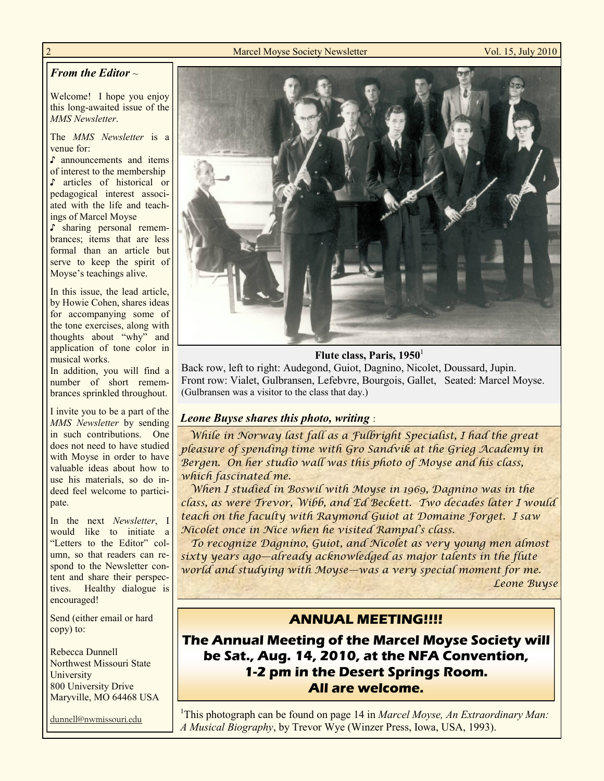#### **2 Marcel Moyse Society Newsletter Vol. 15, July 2010**

#### *From the Editor* ~

Welcome! I hope you enjoy this long-awaited issue of the *MMS Newsletter*.

The *MMS Newsletter* is a venue for:

♪ announcements and items of interest to the membership ♪ articles of historical or pedagogical interest associated with the life and teachings of Marcel Moyse

♪ sharing personal remembrances; items that are less formal than an article but serve to keep the spirit of Moyse"s teachings alive.

In this issue, the lead article, by Howie Cohen, shares ideas for accompanying some of the tone exercises, along with thoughts about "why" and application of tone color in musical works.

In addition, you will find a number of short remembrances sprinkled throughout.

I invite you to be a part of the *MMS Newsletter* by sending in such contributions. One does not need to have studied with Moyse in order to have valuable ideas about how to use his materials, so do indeed feel welcome to participate.

In the next *Newsletter*, I would like to initiate a "Letters to the Editor" column, so that readers can respond to the Newsletter content and share their perspectives. Healthy dialogue is encouraged!

Send (either email or hard copy) to:

Rebecca Dunnell Northwest Missouri State **University** 800 University Drive Maryville, MO 64468 USA

dunnell@nwmissouri.edu



**Flute class, Paris, 1950**<sup>1</sup>

Back row, left to right: Audegond, Guiot, Dagnino, Nicolet, Doussard, Jupin. Front row: Vialet, Gulbransen, Lefebvre, Bourgois, Gallet, Seated: Marcel Moyse. (Gulbransen was a visitor to the class that day.)

#### *Leone Buyse shares this photo, writing* :

 *While in Norway last fall as a Fulbright Specialist, I had the great pleasure of spending time with Gro Sandvik at the Grieg Academy in Bergen. On her studio wall was this photo of Moyse and his class, which fascinated me.*

 *When I studied in Boswil with Moyse in 1969, Dagnino was in the class, as were Trevor, Wibb, and Ed Beckett. Two decades later I would teach on the faculty with Raymond Guiot at Domaine Forget. I saw Nicolet once in Nice when he visited Rampal"s class.*

 *To recognize Dagnino, Guiot, and Nicolet as very young men almost sixty years ago—already acknowledged as major talents in the flute world and studying with Moyse—was a very special moment for me. Leone Buyse*

#### **ANNUAL MEETING!!!!**

**The Annual Meeting of the Marcel Moyse Society will be Sat., Aug. 14, 2010, at the NFA Convention, 1-2 pm in the Desert Springs Room. All are welcome.**

<sup>1</sup>This photograph can be found on page 14 in *Marcel Moyse, An Extraordinary Man: A Musical Biography*, by Trevor Wye (Winzer Press, Iowa, USA, 1993).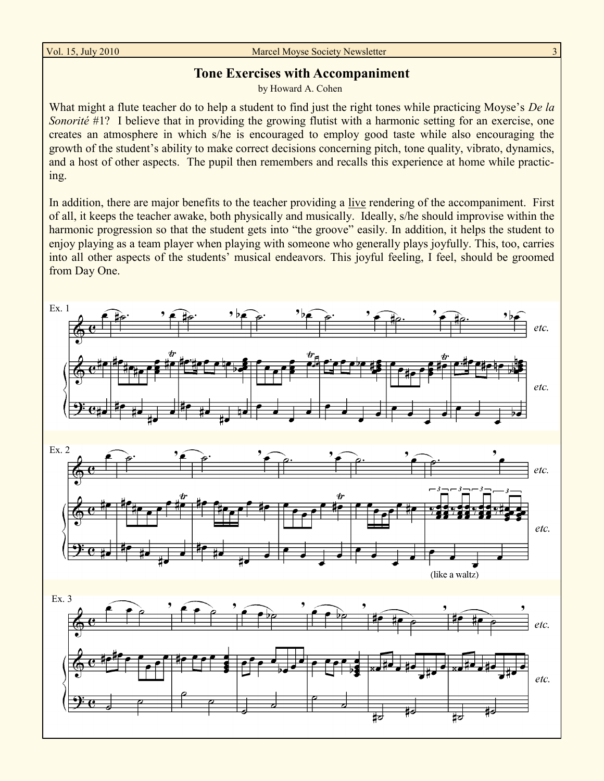#### Vol. 15, July 2010 Marcel Moyse Society Newsletter

#### **Tone Exercises with Accompaniment**

by Howard A. Cohen

What might a flute teacher do to help a student to find just the right tones while practicing Moyse's *De la Sonorité* #1? I believe that in providing the growing flutist with a harmonic setting for an exercise, one creates an atmosphere in which s/he is encouraged to employ good taste while also encouraging the growth of the student's ability to make correct decisions concerning pitch, tone quality, vibrato, dynamics, and a host of other aspects. The pupil then remembers and recalls this experience at home while practicing.

In addition, there are major benefits to the teacher providing a live rendering of the accompaniment. First of all, it keeps the teacher awake, both physically and musically. Ideally, s/he should improvise within the harmonic progression so that the student gets into "the groove" easily. In addition, it helps the student to enjoy playing as a team player when playing with someone who generally plays joyfully. This, too, carries into all other aspects of the students' musical endeavors. This joyful feeling, I feel, should be groomed from Day One.

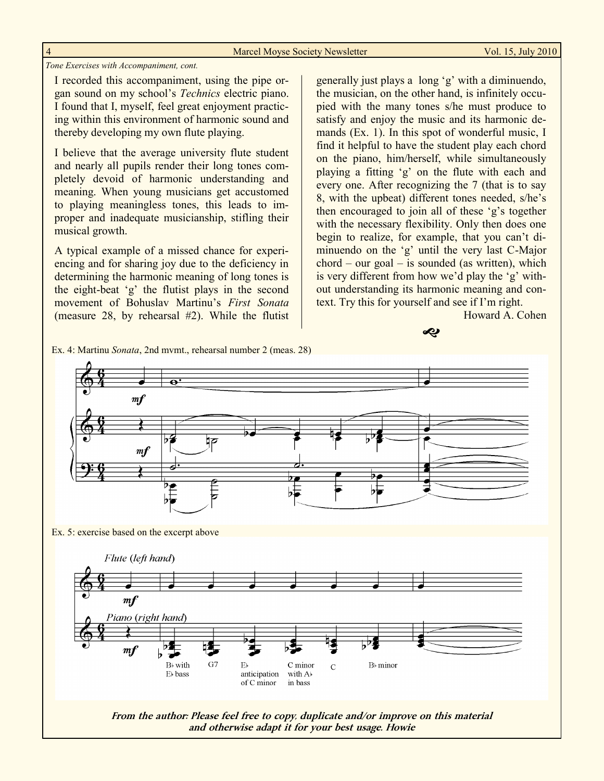| Marcel Moyse Society Newsletter |  |
|---------------------------------|--|
|---------------------------------|--|

#### *Tone Exercises with Accompaniment, cont.*

I recorded this accompaniment, using the pipe organ sound on my school"s *Technics* electric piano. I found that I, myself, feel great enjoyment practicing within this environment of harmonic sound and thereby developing my own flute playing.

I believe that the average university flute student and nearly all pupils render their long tones completely devoid of harmonic understanding and meaning. When young musicians get accustomed to playing meaningless tones, this leads to improper and inadequate musicianship, stifling their musical growth.

A typical example of a missed chance for experiencing and for sharing joy due to the deficiency in determining the harmonic meaning of long tones is the eight-beat "g" the flutist plays in the second movement of Bohuslav Martinu"s *First Sonata*  (measure 28, by rehearsal #2). While the flutist

generally just plays a long "g" with a diminuendo, the musician, on the other hand, is infinitely occupied with the many tones s/he must produce to satisfy and enjoy the music and its harmonic demands (Ex. 1). In this spot of wonderful music, I find it helpful to have the student play each chord on the piano, him/herself, while simultaneously playing a fitting "g" on the flute with each and every one. After recognizing the 7 (that is to say 8, with the upbeat) different tones needed, s/he"s then encouraged to join all of these "g"s together with the necessary flexibility. Only then does one begin to realize, for example, that you can't diminuendo on the 'g' until the very last C-Major  $chord - our goal - is sounded (as written), which$ is very different from how we'd play the 'g' without understanding its harmonic meaning and context. Try this for yourself and see if I"m right.

Howard A. Cohen



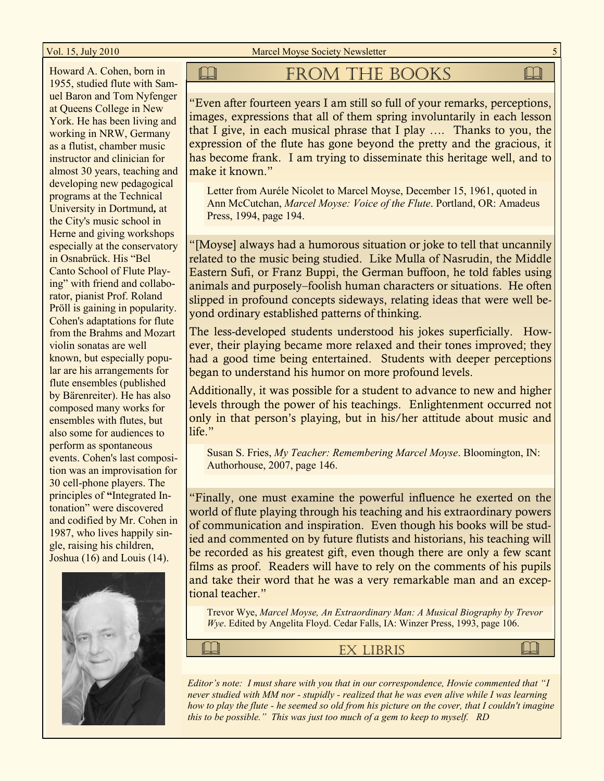Vol. 15, July 2010 Marcel Moyse Society Newsletter

Howard A. Cohen, born in 1955, studied flute with Samuel Baron and Tom Nyfenger at Queens College in New York. He has been living and working in NRW, Germany as a flutist, chamber music instructor and clinician for almost 30 years, teaching and developing new pedagogical programs at the Technical University in Dortmund*,* at the City's music school in Herne and giving workshops especially at the conservatory in Osnabrück. His "Bel Canto School of Flute Playing" with friend and collaborator, pianist Prof. Roland Pröll is gaining in popularity. Cohen's adaptations for flute from the Brahms and Mozart violin sonatas are well known, but especially popular are his arrangements for flute ensembles (published by Bärenreiter). He has also composed many works for ensembles with flutes, but also some for audiences to perform as spontaneous events. Cohen's last composition was an improvisation for 30 cell-phone players. The principles of **"**Integrated Intonation" were discovered and codified by Mr. Cohen in 1987, who lives happily single, raising his children, Joshua (16) and Louis (14).



#### **QUE THE BOOKS QUE THE BOOKS**

"Even after fourteen years I am still so full of your remarks, perceptions, images, expressions that all of them spring involuntarily in each lesson that I give, in each musical phrase that I play …. Thanks to you, the expression of the flute has gone beyond the pretty and the gracious, it has become frank. I am trying to disseminate this heritage well, and to make it known."

Letter from Auréle Nicolet to Marcel Moyse, December 15, 1961, quoted in Ann McCutchan, *Marcel Moyse: Voice of the Flute*. Portland, OR: Amadeus Press, 1994, page 194.

"[Moyse] always had a humorous situation or joke to tell that uncannily related to the music being studied. Like Mulla of Nasrudin, the Middle Eastern Sufi, or Franz Buppi, the German buffoon, he told fables using animals and purposely–foolish human characters or situations. He often slipped in profound concepts sideways, relating ideas that were well beyond ordinary established patterns of thinking.

The less-developed students understood his jokes superficially. However, their playing became more relaxed and their tones improved; they had a good time being entertained. Students with deeper perceptions began to understand his humor on more profound levels.

Additionally, it was possible for a student to advance to new and higher levels through the power of his teachings. Enlightenment occurred not only in that person's playing, but in his/her attitude about music and life."

Susan S. Fries, *My Teacher: Remembering Marcel Moyse*. Bloomington, IN: Authorhouse, 2007, page 146.

"Finally, one must examine the powerful influence he exerted on the world of flute playing through his teaching and his extraordinary powers of communication and inspiration. Even though his books will be studied and commented on by future flutists and historians, his teaching will be recorded as his greatest gift, even though there are only a few scant films as proof. Readers will have to rely on the comments of his pupils and take their word that he was a very remarkable man and an exceptional teacher."

Trevor Wye, *Marcel Moyse, An Extraordinary Man: A Musical Biography by Trevor Wye*. Edited by Angelita Floyd. Cedar Falls, IA: Winzer Press, 1993, page 106.

Ex Libris

*Editor's note: I must share with you that in our correspondence, Howie commented that "I never studied with MM nor - stupidly - realized that he was even alive while I was learning how to play the flute - he seemed so old from his picture on the cover, that I couldn't imagine this to be possible." This was just too much of a gem to keep to myself. RD*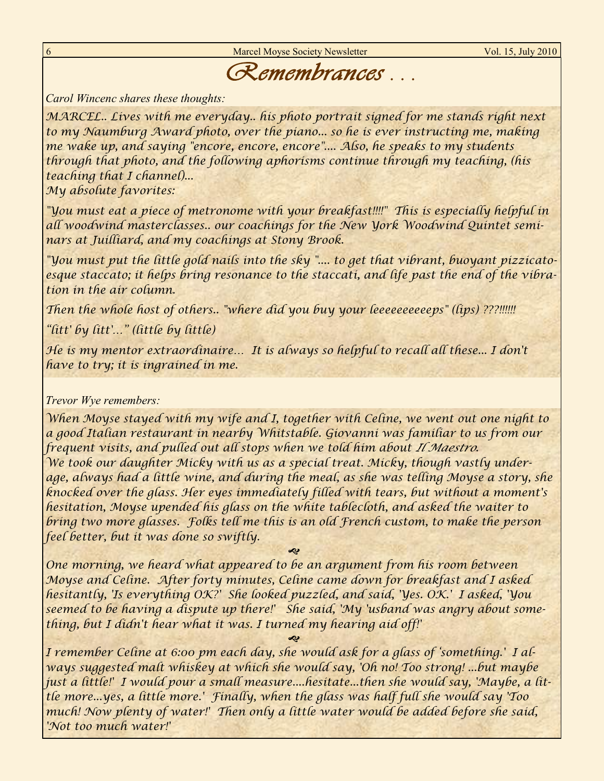Marcel Moyse Society Newsletter Vol. 15, July 2010

## *Remembrances . . .*

*Carol Wincenc shares these thoughts:*

*MARCEL.. Lives with me everyday.. his photo portrait signed for me stands right next* to my Naumburg Award photo, over the piano... so he is ever instructing me, making *me wake up, and saying "encore, encore, encore".... Also, he speaks to my students through that photo, and the following aphorisms continue through my teaching, (his teaching that I channel)...*

*My absolute favorites:*

*"You must eat a piece of metronome with your breakfast!!!!" This is especially helpful in all woodwind masterclasses.. our coachings for the New York Woodwind Quintet seminars at Juilliard, and my coachings at Stony Brook.*

*"You must put the little gold nails into the sky ".... to get that vibrant, buoyant pizzicatoesque staccato; it helps bring resonance to the staccati, and life past the end of the vibration in the air column.*

*Then the whole host of others.. "where did you buy your leeeeeeeeeeps" (lips) ???!!!!!!*

*"litt' by litt'…" (little by little)*

*He is my mentor extraordinaire… It is always so helpful to recall all these... I don't have to try; it is ingrained in me.*

#### *Trevor Wye remembers:*

*When Moyse stayed with my wife and I, together with Celine, we went out one night to a good Italian restaurant in nearby Whitstable. Giovanni was familiar to us from our frequent visits, and pulled out all stops when we told him about Il Maestro. We took our daughter Micky with us as a special treat. Micky, though vastly underage, always had a little wine, and during the meal, as she was telling Moyse a story, she knocked over the glass. Her eyes immediately filled with tears, but without a moment's hesitation, Moyse upended his glass on the white tablecloth, and asked the waiter to bring two more glasses. Folks tell me this is an old French custom, to make the person feel better, but it was done so swiftly.*

 *One morning, we heard what appeared to be an argument from his room between Moyse and Celine. After forty minutes, Celine came down for breakfast and I asked hesitantly, 'Is everything OK?' She looked puzzled, and said, 'Yes. OK.' I asked, 'You seemed to be having a dispute up there!' She said, 'My 'usband was angry about something, but I didn't hear what it was. I turned my hearing aid off!'*

 *I remember Celine at 6:00 pm each day, she would ask for a glass of "something.' I always suggested malt whiskey at which she would say, 'Oh no! Too strong! ...but maybe just a little!' I would pour a small measure....hesitate...then she would say, 'Maybe, a little more...yes, a little more.' Finally, when the glass was half full she would say 'Too much! Now plenty of water!' Then only a little water would be added before she said, 'Not too much water!'*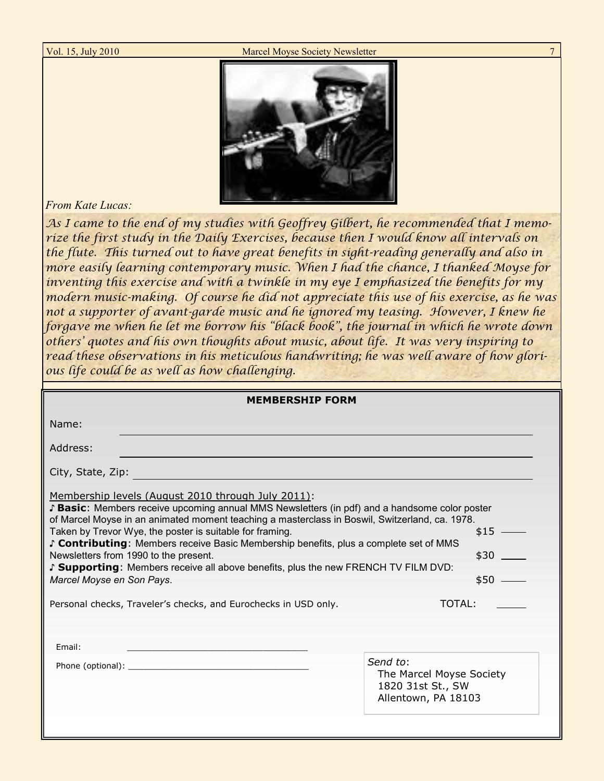Vol. 15, July 2010 Marcel Moyse Society Newsletter



#### *From Kate Lucas:*

*As I came to the end of my studies with Geoffrey Gilbert, he recommended that I memorize the first study in the Daily Exercises, because then I would know all intervals on the flute. This turned out to have great benefits in sight-reading generally and also in more easily learning contemporary music. When I had the chance, I thanked Moyse for inventing this exercise and with a twinkle in my eye I emphasized the benefits for my modern music-making. Of course he did not appreciate this use of his exercise, as he was not a supporter of avant-garde music and he ignored my teasing. However, I knew he forgave me when he let me borrow his "black book", the journal in which he wrote down others" quotes and his own thoughts about music, about life. It was very inspiring to read these observations in his meticulous handwriting; he was well aware of how glorious life could be as well as how challenging.*

| <b>MEMBERSHIP FORM</b>                                                                                                                                                                                                                                                                                                                                                                                                                                                                                                                                               |                                                           |  |
|----------------------------------------------------------------------------------------------------------------------------------------------------------------------------------------------------------------------------------------------------------------------------------------------------------------------------------------------------------------------------------------------------------------------------------------------------------------------------------------------------------------------------------------------------------------------|-----------------------------------------------------------|--|
| Name:                                                                                                                                                                                                                                                                                                                                                                                                                                                                                                                                                                |                                                           |  |
| Address:                                                                                                                                                                                                                                                                                                                                                                                                                                                                                                                                                             |                                                           |  |
| City, State, Zip:                                                                                                                                                                                                                                                                                                                                                                                                                                                                                                                                                    |                                                           |  |
| Membership levels (August 2010 through July 2011):<br>S Basic: Members receive upcoming annual MMS Newsletters (in pdf) and a handsome color poster<br>of Marcel Moyse in an animated moment teaching a masterclass in Boswil, Switzerland, ca. 1978.<br>Taken by Trevor Wye, the poster is suitable for framing.<br>S Contributing: Members receive Basic Membership benefits, plus a complete set of MMS<br>Newsletters from 1990 to the present.<br>Supporting: Members receive all above benefits, plus the new FRENCH TV FILM DVD:<br>Marcel Moyse en Son Pays. | $$15$ —<br>$$30$ $\_$<br>$$50$ —                          |  |
| Personal checks, Traveler's checks, and Eurochecks in USD only.                                                                                                                                                                                                                                                                                                                                                                                                                                                                                                      | TOTAL:                                                    |  |
| Email:                                                                                                                                                                                                                                                                                                                                                                                                                                                                                                                                                               | Send to:<br>The Marcel Moyse Society<br>1820 31st St., SW |  |
|                                                                                                                                                                                                                                                                                                                                                                                                                                                                                                                                                                      | Allentown, PA 18103                                       |  |